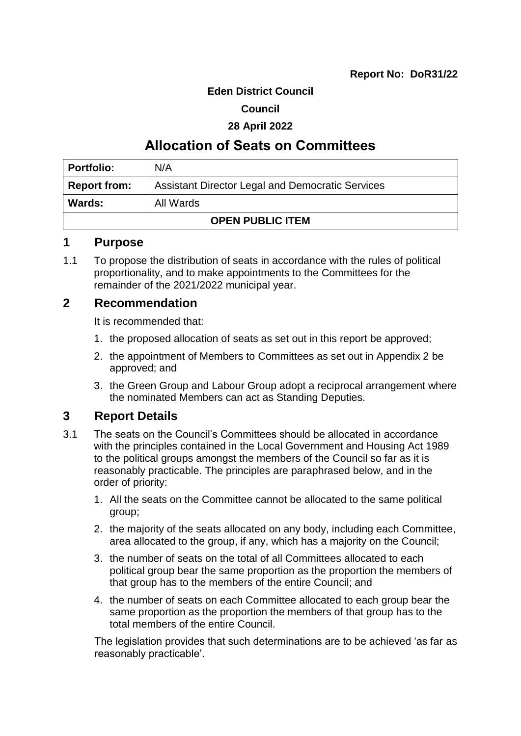#### **Eden District Council**

#### **Council**

#### **28 April 2022**

# **Allocation of Seats on Committees**

| <b>Portfolio:</b>       | N/A                                                     |  |
|-------------------------|---------------------------------------------------------|--|
| <b>Report from:</b>     | <b>Assistant Director Legal and Democratic Services</b> |  |
| Wards:                  | All Wards                                               |  |
| <b>OPEN PUBLIC ITEM</b> |                                                         |  |

#### **1 Purpose**

1.1 To propose the distribution of seats in accordance with the rules of political proportionality, and to make appointments to the Committees for the remainder of the 2021/2022 municipal year.

## **2 Recommendation**

It is recommended that:

- 1. the proposed allocation of seats as set out in this report be approved;
- 2. the appointment of Members to Committees as set out in Appendix 2 be approved; and
- 3. the Green Group and Labour Group adopt a reciprocal arrangement where the nominated Members can act as Standing Deputies.

# **3 Report Details**

- 3.1 The seats on the Council's Committees should be allocated in accordance with the principles contained in the Local Government and Housing Act 1989 to the political groups amongst the members of the Council so far as it is reasonably practicable. The principles are paraphrased below, and in the order of priority:
	- 1. All the seats on the Committee cannot be allocated to the same political group;
	- 2. the majority of the seats allocated on any body, including each Committee, area allocated to the group, if any, which has a majority on the Council;
	- 3. the number of seats on the total of all Committees allocated to each political group bear the same proportion as the proportion the members of that group has to the members of the entire Council; and
	- 4. the number of seats on each Committee allocated to each group bear the same proportion as the proportion the members of that group has to the total members of the entire Council.

The legislation provides that such determinations are to be achieved 'as far as reasonably practicable'.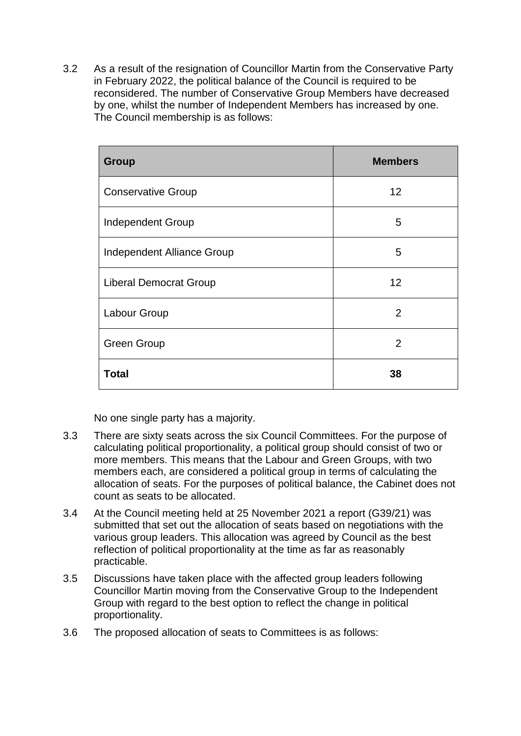3.2 As a result of the resignation of Councillor Martin from the Conservative Party in February 2022, the political balance of the Council is required to be reconsidered. The number of Conservative Group Members have decreased by one, whilst the number of Independent Members has increased by one. The Council membership is as follows:

| <b>Group</b>                  | <b>Members</b> |
|-------------------------------|----------------|
| <b>Conservative Group</b>     | 12             |
| <b>Independent Group</b>      | 5              |
| Independent Alliance Group    | 5              |
| <b>Liberal Democrat Group</b> | 12             |
| Labour Group                  | $\overline{2}$ |
| <b>Green Group</b>            | $\overline{2}$ |
| <b>Total</b>                  | 38             |

No one single party has a majority.

- 3.3 There are sixty seats across the six Council Committees. For the purpose of calculating political proportionality, a political group should consist of two or more members. This means that the Labour and Green Groups, with two members each, are considered a political group in terms of calculating the allocation of seats. For the purposes of political balance, the Cabinet does not count as seats to be allocated.
- 3.4 At the Council meeting held at 25 November 2021 a report (G39/21) was submitted that set out the allocation of seats based on negotiations with the various group leaders. This allocation was agreed by Council as the best reflection of political proportionality at the time as far as reasonably practicable.
- 3.5 Discussions have taken place with the affected group leaders following Councillor Martin moving from the Conservative Group to the Independent Group with regard to the best option to reflect the change in political proportionality.
- 3.6 The proposed allocation of seats to Committees is as follows: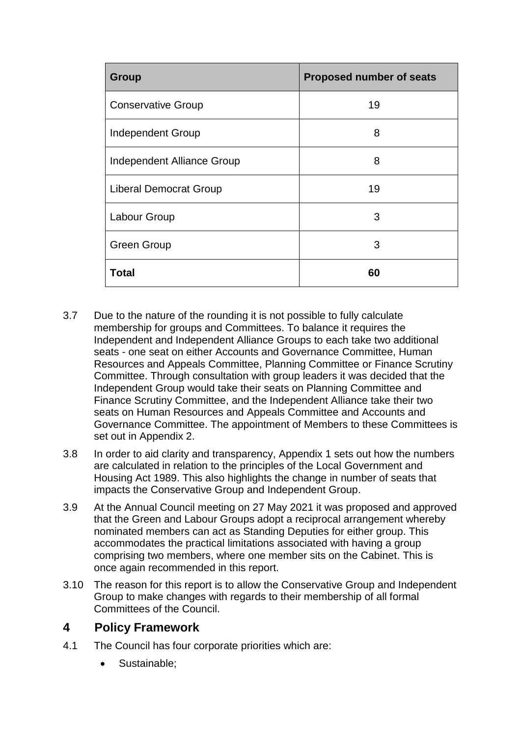| <b>Group</b>                  | Proposed number of seats |
|-------------------------------|--------------------------|
| <b>Conservative Group</b>     | 19                       |
| <b>Independent Group</b>      | 8                        |
| Independent Alliance Group    | 8                        |
| <b>Liberal Democrat Group</b> | 19                       |
| Labour Group                  | 3                        |
| <b>Green Group</b>            | 3                        |
| <b>Total</b>                  | 60                       |

- 3.7 Due to the nature of the rounding it is not possible to fully calculate membership for groups and Committees. To balance it requires the Independent and Independent Alliance Groups to each take two additional seats - one seat on either Accounts and Governance Committee, Human Resources and Appeals Committee, Planning Committee or Finance Scrutiny Committee. Through consultation with group leaders it was decided that the Independent Group would take their seats on Planning Committee and Finance Scrutiny Committee, and the Independent Alliance take their two seats on Human Resources and Appeals Committee and Accounts and Governance Committee. The appointment of Members to these Committees is set out in Appendix 2.
- 3.8 In order to aid clarity and transparency, Appendix 1 sets out how the numbers are calculated in relation to the principles of the Local Government and Housing Act 1989. This also highlights the change in number of seats that impacts the Conservative Group and Independent Group.
- 3.9 At the Annual Council meeting on 27 May 2021 it was proposed and approved that the Green and Labour Groups adopt a reciprocal arrangement whereby nominated members can act as Standing Deputies for either group. This accommodates the practical limitations associated with having a group comprising two members, where one member sits on the Cabinet. This is once again recommended in this report.
- 3.10 The reason for this report is to allow the Conservative Group and Independent Group to make changes with regards to their membership of all formal Committees of the Council.

# **4 Policy Framework**

- 4.1 The Council has four corporate priorities which are:
	- Sustainable: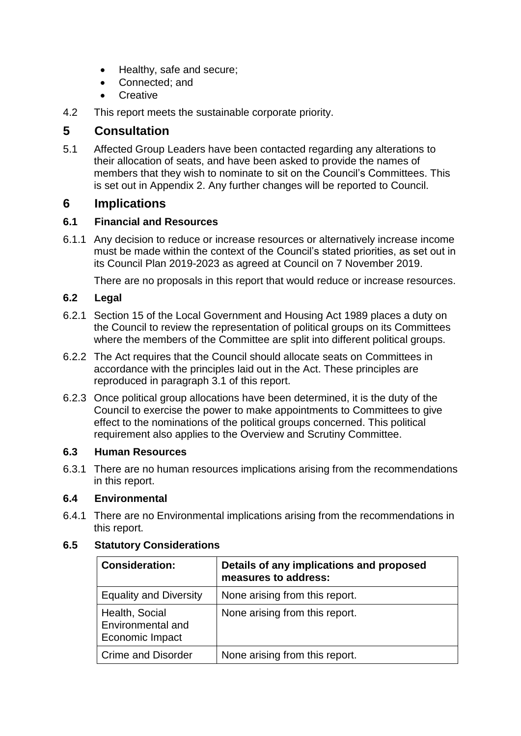- Healthy, safe and secure;
- Connected: and
- **Creative**
- 4.2 This report meets the sustainable corporate priority.

# **5 Consultation**

5.1 Affected Group Leaders have been contacted regarding any alterations to their allocation of seats, and have been asked to provide the names of members that they wish to nominate to sit on the Council's Committees. This is set out in Appendix 2. Any further changes will be reported to Council.

# **6 Implications**

#### **6.1 Financial and Resources**

6.1.1 Any decision to reduce or increase resources or alternatively increase income must be made within the context of the Council's stated priorities, as set out in its Council Plan 2019-2023 as agreed at Council on 7 November 2019.

There are no proposals in this report that would reduce or increase resources.

## **6.2 Legal**

- 6.2.1 Section 15 of the Local Government and Housing Act 1989 places a duty on the Council to review the representation of political groups on its Committees where the members of the Committee are split into different political groups.
- 6.2.2 The Act requires that the Council should allocate seats on Committees in accordance with the principles laid out in the Act. These principles are reproduced in paragraph 3.1 of this report.
- 6.2.3 Once political group allocations have been determined, it is the duty of the Council to exercise the power to make appointments to Committees to give effect to the nominations of the political groups concerned. This political requirement also applies to the Overview and Scrutiny Committee.

## **6.3 Human Resources**

6.3.1 There are no human resources implications arising from the recommendations in this report.

## **6.4 Environmental**

6.4.1 There are no Environmental implications arising from the recommendations in this report.

# **Consideration: Details of any implications and proposed measures to address:** Equality and Diversity  $\vert$  None arising from this report. Health, Social Environmental and Economic Impact None arising from this report. Crime and Disorder  $\vert$  None arising from this report.

#### **6.5 Statutory Considerations**